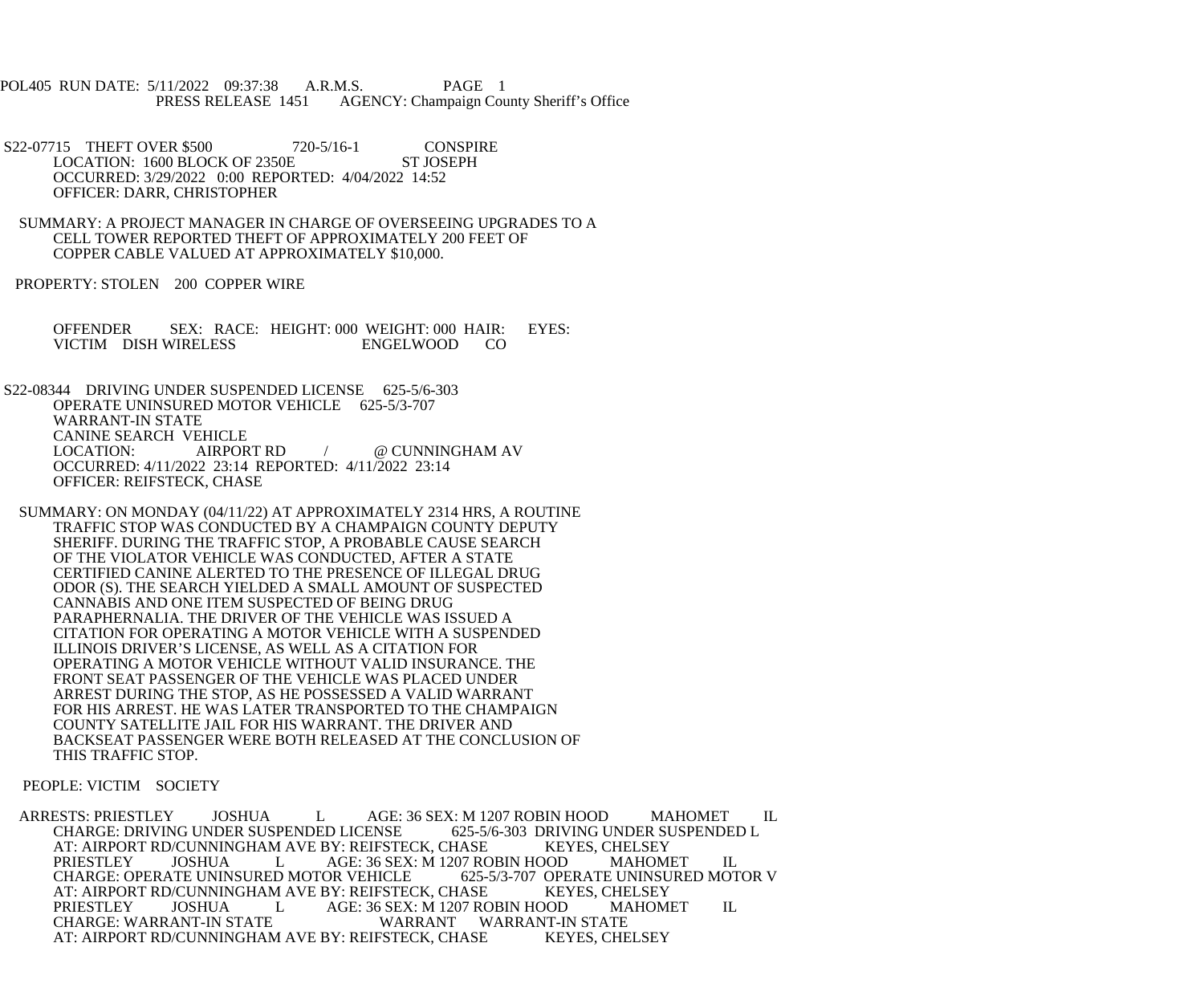POL405 RUN DATE: 5/11/2022 09:37:38 A.R.M.S. PAGE 1 PRESS RELEASE 1451 AGENCY: Champaign County Sheriff's Office

S22-07715 THEFT OVER \$500 720-5/16-1 CONSPIRE<br>LOCATION: 1600 BLOCK OF 2350E ST JOSEPH LOCATION: 1600 BLOCK OF 2350E OCCURRED: 3/29/2022 0:00 REPORTED: 4/04/2022 14:52 OFFICER: DARR, CHRISTOPHER

 SUMMARY: A PROJECT MANAGER IN CHARGE OF OVERSEEING UPGRADES TO A CELL TOWER REPORTED THEFT OF APPROXIMATELY 200 FEET OF COPPER CABLE VALUED AT APPROXIMATELY \$10,000.

PROPERTY: STOLEN 200 COPPER WIRE

 OFFENDER SEX: RACE: HEIGHT: 000 WEIGHT: 000 HAIR: EYES: VICTIM DISH WIRELESS ENGELWOOD CO

 S22-08344 DRIVING UNDER SUSPENDED LICENSE 625-5/6-303 OPERATE UNINSURED MOTOR VEHICLE 625-5/3-707 WARRANT-IN STATE CANINE SEARCH VEHICLE LOCATION: AIRPORT RD / @ CUNNINGHAM AV OCCURRED: 4/11/2022 23:14 REPORTED: 4/11/2022 23:14 OFFICER: REIFSTECK, CHASE

 SUMMARY: ON MONDAY (04/11/22) AT APPROXIMATELY 2314 HRS, A ROUTINE TRAFFIC STOP WAS CONDUCTED BY A CHAMPAIGN COUNTY DEPUTY SHERIFF. DURING THE TRAFFIC STOP, A PROBABLE CAUSE SEARCH OF THE VIOLATOR VEHICLE WAS CONDUCTED, AFTER A STATE CERTIFIED CANINE ALERTED TO THE PRESENCE OF ILLEGAL DRUG ODOR (S). THE SEARCH YIELDED A SMALL AMOUNT OF SUSPECTED CANNABIS AND ONE ITEM SUSPECTED OF BEING DRUG PARAPHERNALIA. THE DRIVER OF THE VEHICLE WAS ISSUED A CITATION FOR OPERATING A MOTOR VEHICLE WITH A SUSPENDED ILLINOIS DRIVER'S LICENSE, AS WELL AS A CITATION FOR OPERATING A MOTOR VEHICLE WITHOUT VALID INSURANCE. THE FRONT SEAT PASSENGER OF THE VEHICLE WAS PLACED UNDER ARREST DURING THE STOP, AS HE POSSESSED A VALID WARRANT FOR HIS ARREST. HE WAS LATER TRANSPORTED TO THE CHAMPAIGN COUNTY SATELLITE JAIL FOR HIS WARRANT. THE DRIVER AND BACKSEAT PASSENGER WERE BOTH RELEASED AT THE CONCLUSION OF THIS TRAFFIC STOP.

PEOPLE: VICTIM SOCIETY

ARRESTS: PRIESTLEY JOSHUA LAGE: 36 SEX: M 1207 ROBIN HOOD MAHOMET IL<br>CHARGE: DRIVING UNDER SUSPENDED LICENSE 625-5/6-303 DRIVING UNDER SUSPENDED L CHARGE: DRIVING UNDER SUSPENDED LICENSE 625-5/6-303 DRIVING UNDER SUSPENDED LICENSE 625-5/6-303 DRIVING UNDER SU<br>AT: AIRPORT RD/CUNNINGHAM AVE BY: REIFSTECK. CHASE KEYES. CHELSEY AT: AIRPORT RD/CUNNINGHAM AVE BY: REIFSTECK, CHASE<br>PRIESTLEY JOSHUA LAGE: 36 SEX: M 1207 RC L AGE: 36 SEX: M 1207 ROBIN HOOD MAHOMET IL<br>ED MOTOR VEHICLE 625-5/3-707 OPERATE UNINSURED MOTOR V CHARGE: OPERATE UNINSURED MOTOR VEHICLE 625-5/3-707 OPERATE UNINSU<br>AT: AIRPORT RD/CUNNINGHAM AVE BY: REIFSTECK, CHASE KEYES, CHELSEY AT: AIRPORT RD/CUNNINGHAM AVE BY: REIFSTECK, CHASE KEYES, CHELSEY<br>PRIESTLEY JOSHUA LAGE: 36 SEX: M 1207 ROBIN HOOD MAHOMET PRIESTLEY JOSHUA L AGE: 36 SEX: M 1207 ROBIN HOOD MAHOMET IL CHARGE: WARRANT WARRANT WARRANT STATE WARRANT WARRANT-IN STATE AT: AIRPORT RD/CUNNINGHAM AVE BY: REIFSTECK, CHASE KEYES, CHELSEY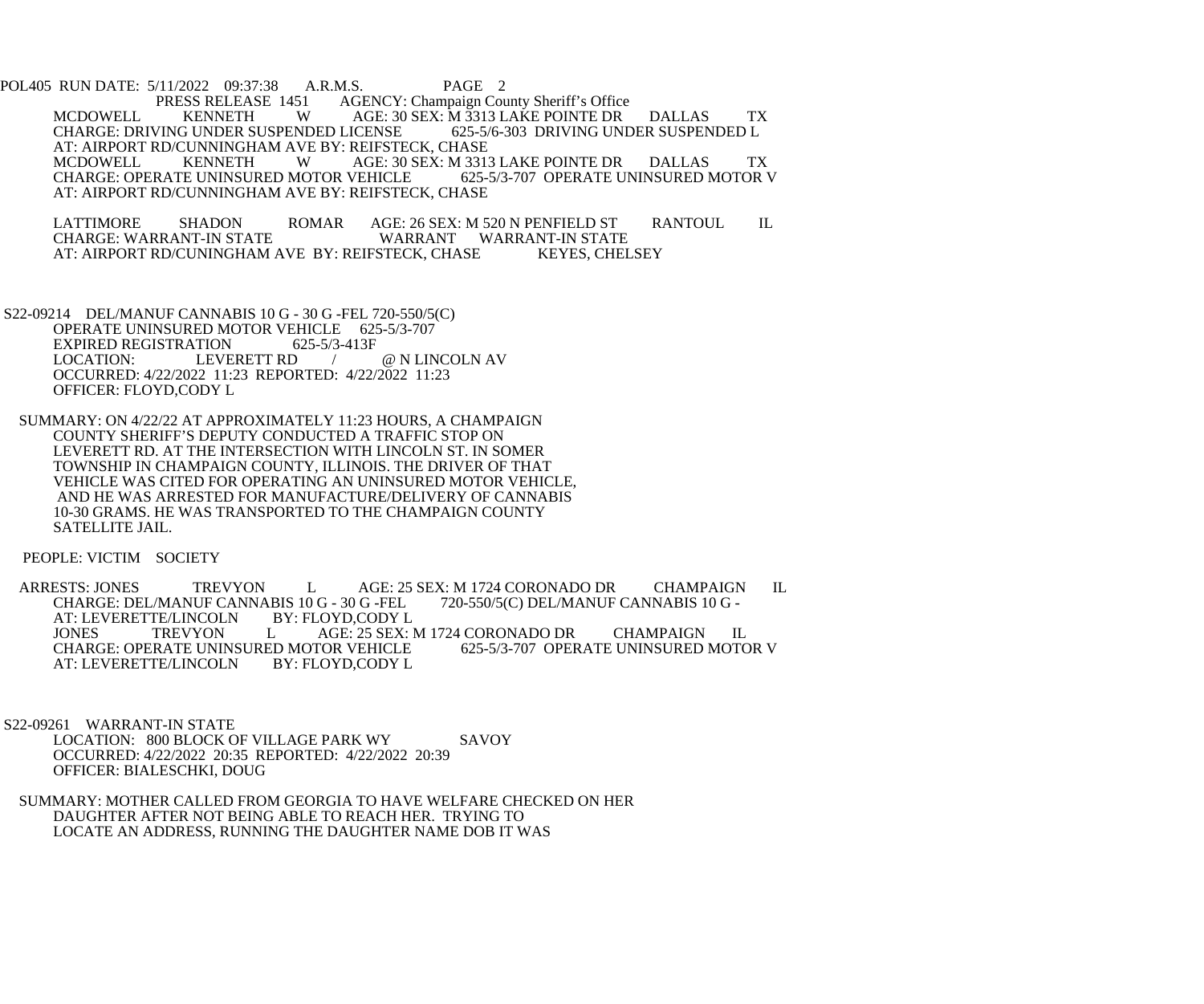POL405 RUN DATE: 5/11/2022 09:37:38 A.R.M.S. PAGE 2<br>PRESS RELEASE 1451 AGENCY: Champaign Cou 51 AGENCY: Champaign County Sheriff's Office<br>W AGE: 30 SEX: M 3313 LAKE POINTE DR MCDOWELL KENNETH W AGE: 30 SEX: M 3313 LAKE POINTE DR DALLAS TX<br>CHARGE: DRIVING UNDER SUSPENDED LICENSE 625-5/6-303 DRIVING UNDER SUSPENDED L CHARGE: DRIVING UNDER SUSPENDED LICENSE AT: AIRPORT RD/CUNNINGHAM AVE BY: REIFSTECK, CHASE<br>MCDOWELL KENNETH WAGE: 30 SEX: M 331 AGE: 30 SEX: M 3313 LAKE POINTE DR DALLAS TX<br>VEHICLE 625-5/3-707 OPERATE UNINSURED MOTOR V CHARGE: OPERATE UNINSURED MOTOR VEHICLE AT: AIRPORT RD/CUNNINGHAM AVE BY: REIFSTECK, CHASE

LATTIMORE SHADON ROMAR AGE: 26 SEX: M 520 N PENFIELD ST RANTOUL IL<br>CHARGE: WARRANT-IN STATE WARRANT WARRANT-IN STATE WARRANT WARRANT-IN STATE AT: AIRPORT RD/CUNINGHAM AVE BY: REIFSTECK, CHASE KEYES, CHELSEY

 S22-09214 DEL/MANUF CANNABIS 10 G - 30 G -FEL 720-550/5(C) OPERATE UNINSURED MOTOR VEHICLE 625-5/3-707 EXPIRED REGISTRATION 625-5/3-413F<br>LOCATION: LEVERETT RD / @ N LINCOLN AV OCCURRED: 4/22/2022 11:23 REPORTED: 4/22/2022 11:23 OFFICER: FLOYD,CODY L

 SUMMARY: ON 4/22/22 AT APPROXIMATELY 11:23 HOURS, A CHAMPAIGN COUNTY SHERIFF'S DEPUTY CONDUCTED A TRAFFIC STOP ON LEVERETT RD. AT THE INTERSECTION WITH LINCOLN ST. IN SOMER TOWNSHIP IN CHAMPAIGN COUNTY, ILLINOIS. THE DRIVER OF THAT VEHICLE WAS CITED FOR OPERATING AN UNINSURED MOTOR VEHICLE, AND HE WAS ARRESTED FOR MANUFACTURE/DELIVERY OF CANNABIS 10-30 GRAMS. HE WAS TRANSPORTED TO THE CHAMPAIGN COUNTY SATELLITE JAIL.

PEOPLE: VICTIM SOCIETY

ARRESTS: JONES TREVYON L AGE: 25 SEX: M 1724 CORONADO DR CHAMPAIGN IL CHARGE: DEL/MANUF CANNABIS 10 G - 30 G - FEL 720-550/5(C) DEL/MANUF CANNABIS 10 G -CHARGE: DEL/MANUF CANNABIS 10 G - 30 G -FEL<br>AT: LEVERETTE/LINCOLN BY: FLOYD,CODY L AT: LEVERETTE/LINCOLN BY: FLOYD,CODY L L AGE: 25 SEX: M 1724 CORONADO DR CHAMPAIGN IL<br>ED MOTOR VEHICLE 625-5/3-707 OPERATE UNINSURED MOTOR V CHARGE: OPERATE UNINSURED MOTOR VEHICLE<br>AT: LEVERETTE/LINCOLN BY: FLOYD,CODY L AT: LEVERETTE/LINCOLN

 S22-09261 WARRANT-IN STATE LOCATION: 800 BLOCK OF VILLAGE PARK WY SAVOY OCCURRED: 4/22/2022 20:35 REPORTED: 4/22/2022 20:39 OFFICER: BIALESCHKI, DOUG

 SUMMARY: MOTHER CALLED FROM GEORGIA TO HAVE WELFARE CHECKED ON HER DAUGHTER AFTER NOT BEING ABLE TO REACH HER. TRYING TO LOCATE AN ADDRESS, RUNNING THE DAUGHTER NAME DOB IT WAS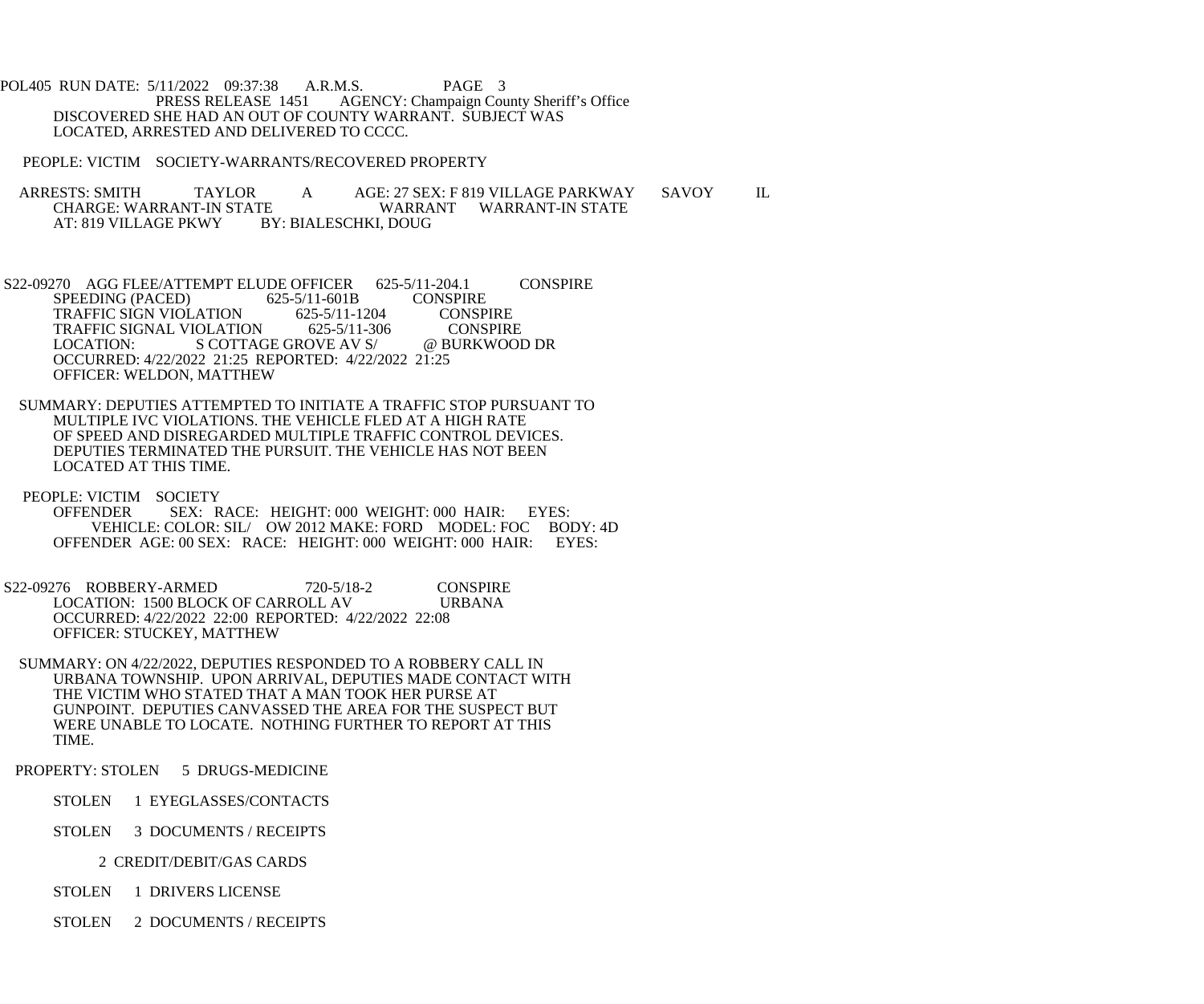POL405 RUN DATE: 5/11/2022 09:37:38 A.R.M.S. PAGE 3<br>PRESS RELEASE 1451 AGENCY: Champaign Cou AGENCY: Champaign County Sheriff's Office DISCOVERED SHE HAD AN OUT OF COUNTY WARRANT. SUBJECT WAS LOCATED, ARRESTED AND DELIVERED TO CCCC.

PEOPLE: VICTIM SOCIETY-WARRANTS/RECOVERED PROPERTY

ARRESTS: SMITH TAYLOR A AGE: 27 SEX: F 819 VILLAGE PARKWAY SAVOY IL<br>CHARGE: WARRANT-IN STATE WARRANT WARRANT-IN STATE CHARGE: WARRANT-IN STATE WARRANT WARRANT-IN STATE<br>AT: 819 VILLAGE PKWY BY: BIALESCHKI, DOUG BY: BIALESCHKI, DOUG

S22-09270 AGG FLEE/ATTEMPT ELUDE OFFICER 625-5/11-204.1 CONSPIRE<br>SPEEDING (PACED) 625-5/11-601B CONSPIRE SPEEDING (PACED) 625-5/11-601B CONSPIRE<br>TRAFFIC SIGN VIOLATION 625-5/11-1204 CONSPIRE TRAFFIC SIGN VIOLATION 625-5/11-1204 CONSPIRE<br>TRAFFIC SIGNAL VIOLATION 625-5/11-306 CONSPIRE TRAFFIC SIGNAL VIOLATION 625-5/11-306 CONSPIRE<br>LOCATION: S COTTAGE GROVE AV S/ @ BURKWOOD DR LOCATION: S COTTAGE GROVE AV S/ OCCURRED: 4/22/2022 21:25 REPORTED: 4/22/2022 21:25 OFFICER: WELDON, MATTHEW

 SUMMARY: DEPUTIES ATTEMPTED TO INITIATE A TRAFFIC STOP PURSUANT TO MULTIPLE IVC VIOLATIONS. THE VEHICLE FLED AT A HIGH RATE OF SPEED AND DISREGARDED MULTIPLE TRAFFIC CONTROL DEVICES. DEPUTIES TERMINATED THE PURSUIT. THE VEHICLE HAS NOT BEEN LOCATED AT THIS TIME.

 PEOPLE: VICTIM SOCIETY OFFENDER SEX: RACE: HEIGHT: 000 WEIGHT: 000 HAIR: EYES: VEHICLE: COLOR: SIL/ OW 2012 MAKE: FORD MODEL: FOC BODY: 4D<br>NDER AGE: 00 SEX: RACE: HEIGHT: 000 WEIGHT: 000 HAIR: EYES: OFFENDER AGE: 00 SEX: RACE: HEIGHT: 000 WEIGHT: 000 HAIR:

 S22-09276 ROBBERY-ARMED 720-5/18-2 CONSPIRE LOCATION: 1500 BLOCK OF CARROLL AV URBANA OCCURRED: 4/22/2022 22:00 REPORTED: 4/22/2022 22:08 OFFICER: STUCKEY, MATTHEW

 SUMMARY: ON 4/22/2022, DEPUTIES RESPONDED TO A ROBBERY CALL IN URBANA TOWNSHIP. UPON ARRIVAL, DEPUTIES MADE CONTACT WITH THE VICTIM WHO STATED THAT A MAN TOOK HER PURSE AT GUNPOINT. DEPUTIES CANVASSED THE AREA FOR THE SUSPECT BUT WERE UNABLE TO LOCATE. NOTHING FURTHER TO REPORT AT THIS TIME.

PROPERTY: STOLEN 5 DRUGS-MEDICINE

STOLEN 1 EYEGLASSES/CONTACTS

STOLEN 3 DOCUMENTS / RECEIPTS

2 CREDIT/DEBIT/GAS CARDS

STOLEN 1 DRIVERS LICENSE

STOLEN 2 DOCUMENTS / RECEIPTS